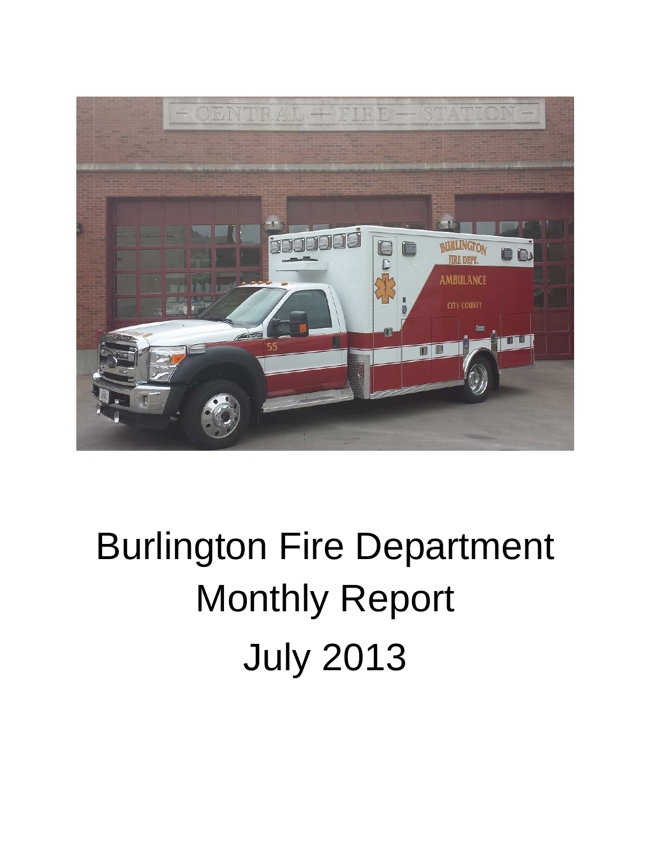

# Burlington Fire Department Monthly Report July 2013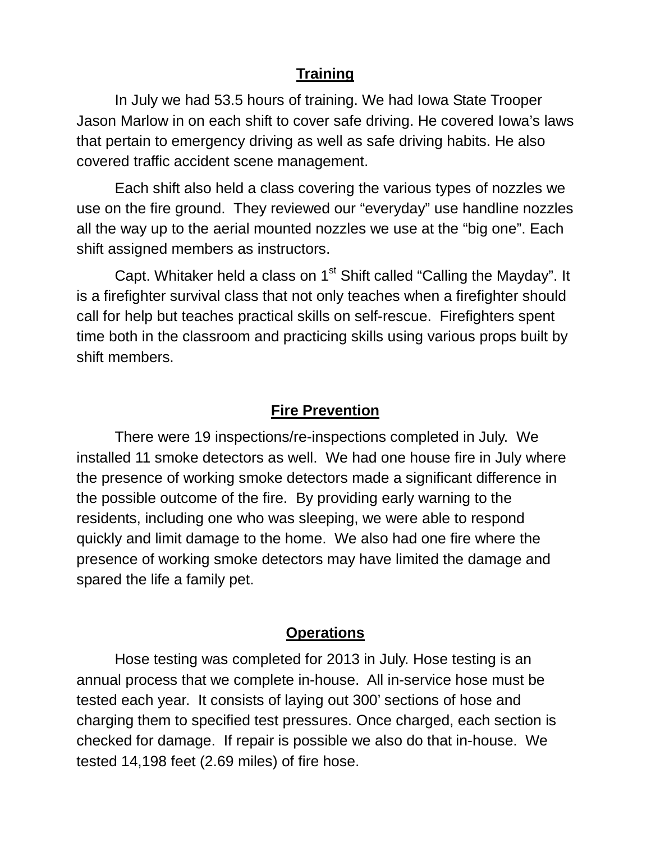### **Training**

In July we had 53.5 hours of training. We had Iowa State Trooper Jason Marlow in on each shift to cover safe driving. He covered Iowa's laws that pertain to emergency driving as well as safe driving habits. He also covered traffic accident scene management.

Each shift also held a class covering the various types of nozzles we use on the fire ground. They reviewed our "everyday" use handline nozzles all the way up to the aerial mounted nozzles we use at the "big one". Each shift assigned members as instructors.

Capt. Whitaker held a class on  $1<sup>st</sup>$  Shift called "Calling the Mayday". It is a firefighter survival class that not only teaches when a firefighter should call for help but teaches practical skills on self-rescue. Firefighters spent time both in the classroom and practicing skills using various props built by shift members.

#### **Fire Prevention**

There were 19 inspections/re-inspections completed in July. We installed 11 smoke detectors as well. We had one house fire in July where the presence of working smoke detectors made a significant difference in the possible outcome of the fire. By providing early warning to the residents, including one who was sleeping, we were able to respond quickly and limit damage to the home. We also had one fire where the presence of working smoke detectors may have limited the damage and spared the life a family pet.

#### **Operations**

Hose testing was completed for 2013 in July. Hose testing is an annual process that we complete in-house. All in-service hose must be tested each year. It consists of laying out 300' sections of hose and charging them to specified test pressures. Once charged, each section is checked for damage. If repair is possible we also do that in-house. We tested 14,198 feet (2.69 miles) of fire hose.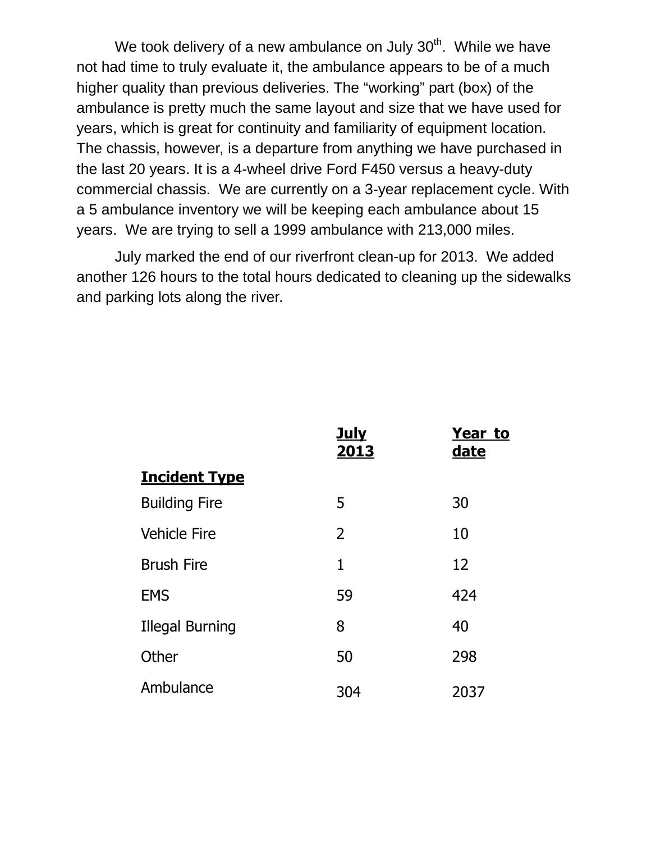We took delivery of a new ambulance on July  $30<sup>th</sup>$ . While we have not had time to truly evaluate it, the ambulance appears to be of a much higher quality than previous deliveries. The "working" part (box) of the ambulance is pretty much the same layout and size that we have used for years, which is great for continuity and familiarity of equipment location. The chassis, however, is a departure from anything we have purchased in the last 20 years. It is a 4-wheel drive Ford F450 versus a heavy-duty commercial chassis. We are currently on a 3-year replacement cycle. With a 5 ambulance inventory we will be keeping each ambulance about 15 years. We are trying to sell a 1999 ambulance with 213,000 miles.

July marked the end of our riverfront clean-up for 2013. We added another 126 hours to the total hours dedicated to cleaning up the sidewalks and parking lots along the river.

|                        | <b>July</b><br>2013 | <b>Year to</b><br><u>date</u> |
|------------------------|---------------------|-------------------------------|
| <b>Incident Type</b>   |                     |                               |
| <b>Building Fire</b>   | 5                   | 30                            |
| <b>Vehicle Fire</b>    | 2                   | 10                            |
| <b>Brush Fire</b>      | 1                   | 12                            |
| <b>EMS</b>             | 59                  | 424                           |
| <b>Illegal Burning</b> | 8                   | 40                            |
| Other                  | 50                  | 298                           |
| Ambulance              | 304                 | 2037                          |